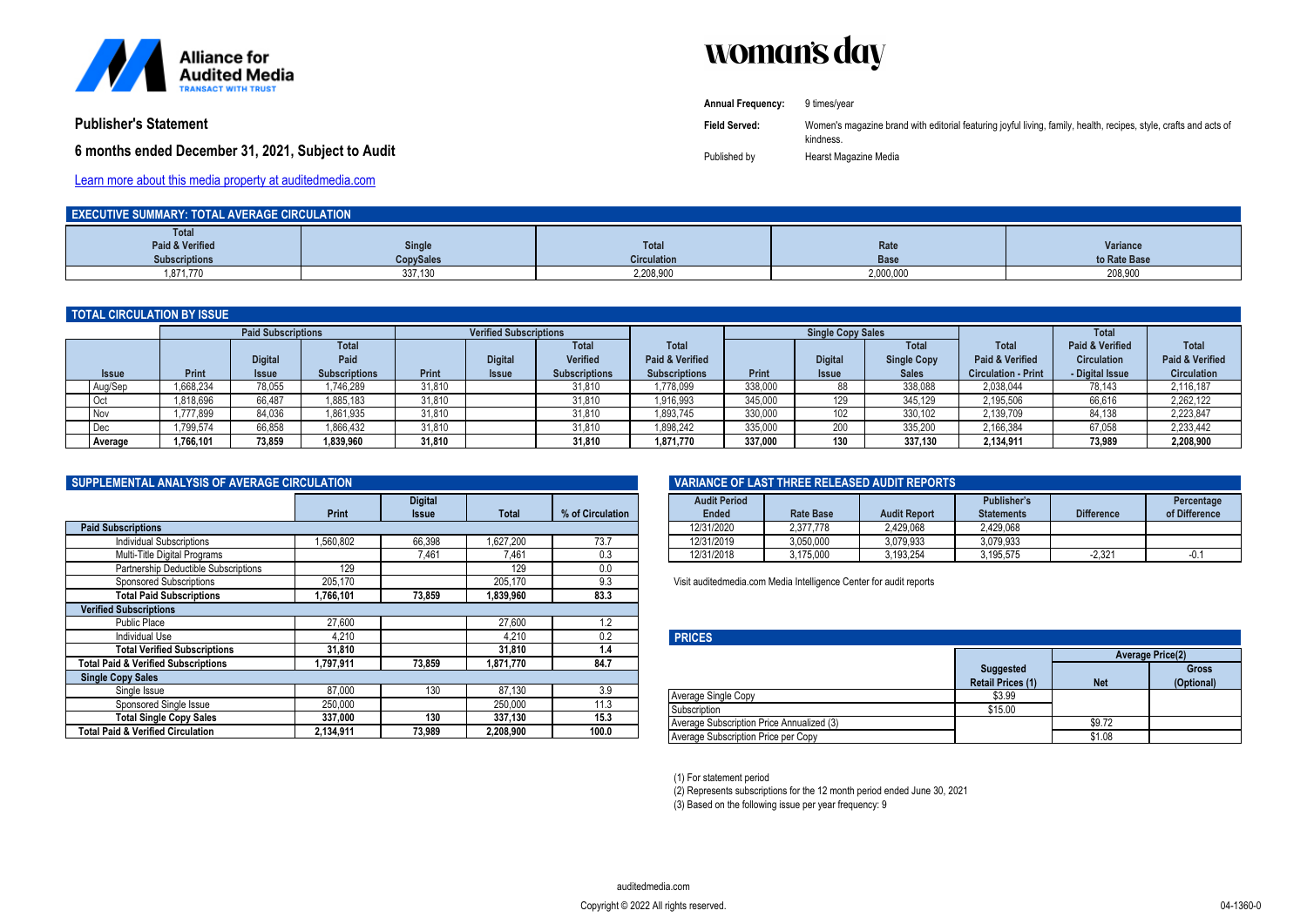

woman's day

|                                                    | Annual Frequency:    | 9 times/vear                                                                                                      |
|----------------------------------------------------|----------------------|-------------------------------------------------------------------------------------------------------------------|
| <b>Publisher's Statement</b>                       | <b>Field Served:</b> | Women's magazine brand with editorial featuring joyful living, family, health, recipes, style, crafts and acts of |
| 6 months ended December 31, 2021, Subject to Audit |                      | kindness.                                                                                                         |
|                                                    | Published by         | Hearst Magazine Media                                                                                             |

[Learn more about this media property at auditedmedia.com](https://brandview.auditedmedia.com/?memberNumber=Iy%2BM0QqWW8g%3D&linkSource=PDF_PubStatement)

| <b>EXECUTIVE SUMMARY: TOTAL AVERAGE CIRCULATION</b> |                  |                    |             |              |  |  |
|-----------------------------------------------------|------------------|--------------------|-------------|--------------|--|--|
| <b>Total</b>                                        |                  |                    |             |              |  |  |
| Paid & Verified                                     | Single           | <b>Total</b>       | Rate        | Variance     |  |  |
| <b>Subscriptions</b>                                | <b>CopySales</b> | <b>Circulation</b> | <b>Base</b> | to Rate Base |  |  |
| 1,871,770                                           | 337,130          | 2,208,900          | 2,000,000   | 208,900      |  |  |

| <b>TOTAL CIRCULATION BY ISSUE</b> |              |                           |                      |        |                               |                      |                      |                          |               |                    |                            |                            |                    |
|-----------------------------------|--------------|---------------------------|----------------------|--------|-------------------------------|----------------------|----------------------|--------------------------|---------------|--------------------|----------------------------|----------------------------|--------------------|
|                                   |              | <b>Paid Subscriptions</b> |                      |        | <b>Verified Subscriptions</b> |                      |                      | <b>Single Copy Sales</b> |               |                    | <b>Total</b>               |                            |                    |
|                                   |              |                           | <b>Total</b>         |        |                               | <b>Total</b>         | <b>Total</b>         |                          |               | <b>Total</b>       | <b>Total</b>               | <b>Paid &amp; Verified</b> | <b>Total</b>       |
|                                   |              | <b>Digital</b>            | Paid                 |        | <b>Digital</b>                | <b>Verified</b>      | Paid & Verified      |                          | <b>Digita</b> | <b>Single Copy</b> | Paid & Verified            | <b>Circulation</b>         | Paid & Verified    |
| <b>Issue</b>                      | <b>Print</b> | <b>Issue</b>              | <b>Subscriptions</b> | Print  | <b>Issue</b>                  | <b>Subscriptions</b> | <b>Subscriptions</b> | Print                    | <b>Issue</b>  | <b>Sales</b>       | <b>Circulation - Print</b> | - Digital Issue            | <b>Circulation</b> |
| Aug/Sep                           | 1.668.234    | 78.055                    | 1.746.289            | 31,810 |                               | 31.810               | .778.099             | 338,000                  | 88            | 338,088            | 2,038,044                  | 78,143                     | 2,116,187          |
| l Oct                             | 1,818,696    | 66.487                    | .885,183             | 31,810 |                               | 31,810               | 1,916,993            | 345,000                  | 129           | 345,129            | 2,195,506                  | 66,616                     | 2,262,122          |
| <b>Nov</b>                        | ,777,899     | 84.036                    | 1,861,935            | 31,810 |                               | 31.810               | 1,893,745            | 330,000                  | 102           | 330.102            | 2,139,709                  | 84,138                     | 2,223,847          |
| Dec                               | ,799,574     | 66,858                    | 1,866,432            | 31,810 |                               | 31.810               | 898,242              | 335,000                  | 200           | 335,200            | 2,166,384                  | 67,058                     | 2,233,442          |
| <b>Average</b>                    | 1.766.101    | 73.859                    | 1,839,960            | 31,810 |                               | 31.810               | 1,871,770            | 337.000                  | 130           | 337.130            | 2,134,911                  | 73,989                     | 2,208,900          |

| SUPPLEMENTAL ANALYSIS OF AVERAGE CIRCULATION   |              |                                |              |                  |  |  |
|------------------------------------------------|--------------|--------------------------------|--------------|------------------|--|--|
|                                                | <b>Print</b> | <b>Digital</b><br><b>Issue</b> | <b>Total</b> | % of Circulation |  |  |
| <b>Paid Subscriptions</b>                      |              |                                |              |                  |  |  |
| <b>Individual Subscriptions</b>                | 1.560.802    | 66.398                         | 1,627,200    | 73.7             |  |  |
| Multi-Title Digital Programs                   |              | 7.461                          | 7,461        | 0.3              |  |  |
| Partnership Deductible Subscriptions           | 129          |                                | 129          | 0.0              |  |  |
| <b>Sponsored Subscriptions</b>                 | 205,170      |                                | 205.170      | 9.3              |  |  |
| <b>Total Paid Subscriptions</b>                | 1,766,101    | 73,859                         | 1,839,960    | 83.3             |  |  |
| <b>Verified Subscriptions</b>                  |              |                                |              |                  |  |  |
| <b>Public Place</b>                            | 27,600       |                                | 27,600       | 1.2              |  |  |
| Individual Use                                 | 4,210        |                                | 4,210        | 0.2              |  |  |
| <b>Total Verified Subscriptions</b>            | 31,810       |                                | 31,810       | 1.4              |  |  |
| <b>Total Paid &amp; Verified Subscriptions</b> | 1,797,911    | 73.859                         | 1,871,770    | 84.7             |  |  |
| <b>Single Copy Sales</b>                       |              |                                |              |                  |  |  |
| Single Issue                                   | 87,000       | 130                            | 87,130       | 3.9              |  |  |
| Sponsored Single Issue                         | 250,000      |                                | 250.000      | 11.3             |  |  |
| <b>Total Single Copy Sales</b>                 | 337,000      | 130                            | 337,130      | 15.3             |  |  |
| <b>Total Paid &amp; Verified Circulation</b>   | 2.134.911    | 73.989                         | 2.208.900    | 100.0            |  |  |

| VARIANCE OF LAST THREE RELEASED AUDIT REPORTS |           |                     |                   |                   |               |  |
|-----------------------------------------------|-----------|---------------------|-------------------|-------------------|---------------|--|
| <b>Audit Period</b>                           |           |                     | Publisher's       |                   | Percentage    |  |
| Ended                                         | Rate Base | <b>Audit Report</b> | <b>Statements</b> | <b>Difference</b> | of Difference |  |
| 12/31/2020                                    | 2.377.778 | 2.429.068           | 2.429.068         |                   |               |  |
| 12/31/2019                                    | 3.050.000 | 3.079.933           | 3.079.933         |                   |               |  |
| 12/31/2018                                    | 3.175.000 | 3.193.254           | 3.195.575         | $-2.321$          | $-0.1$        |  |

Visit auditedmedia.com Media Intelligence Center for audit reports

| <b>PRICES</b>                             |                                       |            |                            |
|-------------------------------------------|---------------------------------------|------------|----------------------------|
|                                           | <b>Average Price(2)</b>               |            |                            |
|                                           | Suggested<br><b>Retail Prices (1)</b> | <b>Net</b> | <b>Gross</b><br>(Optional) |
| Average Single Copy                       | \$3.99                                |            |                            |
| Subscription                              | \$15.00                               |            |                            |
| Average Subscription Price Annualized (3) |                                       | \$9.72     |                            |
| Average Subscription Price per Copy       |                                       | \$1.08     |                            |

(1) For statement period

(2) Represents subscriptions for the 12 month period ended June 30, 2021

(3) Based on the following issue per year frequency: 9

*auditedmedia.com*

*Copyright © 2022 All rights reserved. 04-1360-0*